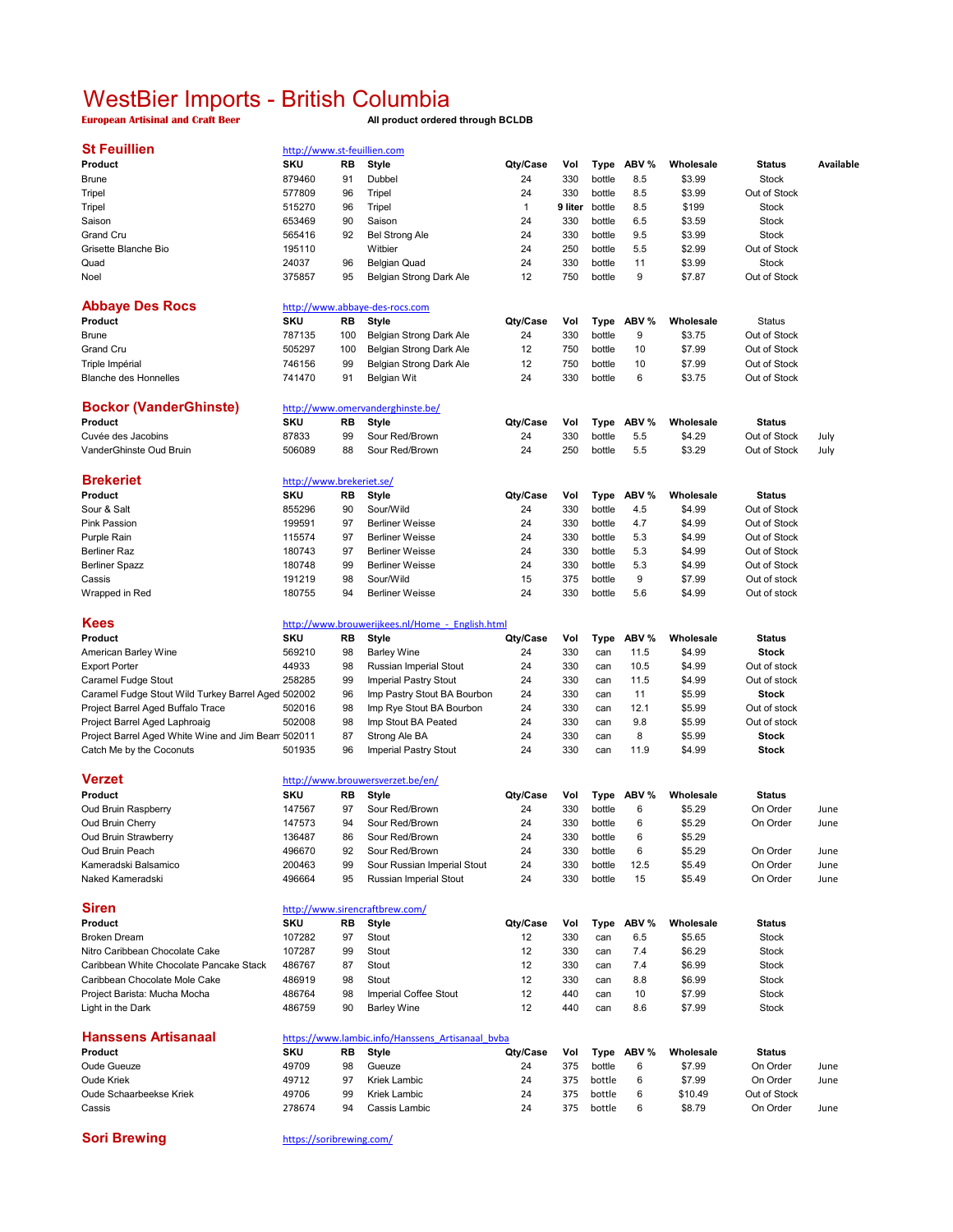## WestBier Imports - British Columbia

**European Artisinal and Craft Beer All product ordered through BCLDB**

| <b>St Feuillien</b>                                | http://www.st-feuillien.com |     |                                                  |          |         |        |       |           |               |           |
|----------------------------------------------------|-----------------------------|-----|--------------------------------------------------|----------|---------|--------|-------|-----------|---------------|-----------|
| Product                                            | <b>SKU</b>                  | RB  | Style                                            | Qty/Case | Vol     | Type   | ABV % | Wholesale | <b>Status</b> | Available |
| <b>Brune</b>                                       | 879460                      | 91  | Dubbel                                           | 24       | 330     | bottle | 8.5   | \$3.99    | <b>Stock</b>  |           |
| Tripel                                             | 577809                      | 96  | Tripel                                           | 24       | 330     | bottle | 8.5   | \$3.99    | Out of Stock  |           |
| Tripel                                             | 515270                      | 96  | Tripel                                           | 1        | 9 liter | bottle | 8.5   | \$199     | <b>Stock</b>  |           |
|                                                    | 653469                      | 90  |                                                  | 24       | 330     |        |       |           |               |           |
| Saison                                             |                             |     | Saison                                           |          |         | bottle | 6.5   | \$3.59    | <b>Stock</b>  |           |
| Grand Cru                                          | 565416                      | 92  | <b>Bel Strong Ale</b>                            | 24       | 330     | bottle | 9.5   | \$3.99    | <b>Stock</b>  |           |
| Grisette Blanche Bio                               | 195110                      |     | Witbier                                          | 24       | 250     | bottle | 5.5   | \$2.99    | Out of Stock  |           |
| Quad                                               | 24037                       | 96  | <b>Belgian Quad</b>                              | 24       | 330     | bottle | 11    | \$3.99    | <b>Stock</b>  |           |
| Noel                                               | 375857                      | 95  | Belgian Strong Dark Ale                          | 12       | 750     | bottle | 9     | \$7.87    | Out of Stock  |           |
| <b>Abbaye Des Rocs</b>                             |                             |     | http://www.abbaye-des-rocs.com                   |          |         |        |       |           |               |           |
| Product                                            | <b>SKU</b>                  | RB  | <b>Style</b>                                     | Qty/Case | Vol     |        | ABV % | Wholesale | <b>Status</b> |           |
|                                                    |                             |     |                                                  |          |         | Type   |       |           |               |           |
| <b>Brune</b>                                       | 787135                      | 100 | Belgian Strong Dark Ale                          | 24       | 330     | bottle | 9     | \$3.75    | Out of Stock  |           |
| Grand Cru                                          | 505297                      | 100 | Belgian Strong Dark Ale                          | 12       | 750     | bottle | 10    | \$7.99    | Out of Stock  |           |
| Triple Impérial                                    | 746156                      | 99  | Belgian Strong Dark Ale                          | 12       | 750     | bottle | 10    | \$7.99    | Out of Stock  |           |
| <b>Blanche des Honnelles</b>                       | 741470                      | 91  | <b>Belgian Wit</b>                               | 24       | 330     | bottle | 6     | \$3.75    | Out of Stock  |           |
| <b>Bockor (VanderGhinste)</b>                      |                             |     | http://www.omervanderghinste.be/                 |          |         |        |       |           |               |           |
| Product                                            | <b>SKU</b>                  | RB  | <b>Style</b>                                     | Qty/Case | Vol     | Type   | ABV % | Wholesale | <b>Status</b> |           |
| Cuvée des Jacobins                                 | 87833                       | 99  | Sour Red/Brown                                   | 24       | 330     | bottle | 5.5   | \$4.29    | Out of Stock  | July      |
| VanderGhinste Oud Bruin                            | 506089                      | 88  | Sour Red/Brown                                   | 24       | 250     | bottle | 5.5   | \$3.29    | Out of Stock  | July      |
|                                                    |                             |     |                                                  |          |         |        |       |           |               |           |
| <b>Brekeriet</b>                                   | http://www.brekeriet.se/    |     |                                                  |          |         |        |       |           |               |           |
| Product                                            | SKU                         | RB  | Style                                            | Qty/Case | Vol     | Type   | ABV % | Wholesale | <b>Status</b> |           |
| Sour & Salt                                        | 855296                      | 90  | Sour/Wild                                        | 24       | 330     | bottle | 4.5   | \$4.99    | Out of Stock  |           |
| <b>Pink Passion</b>                                | 199591                      | 97  | <b>Berliner Weisse</b>                           | 24       | 330     | bottle | 4.7   | \$4.99    | Out of Stock  |           |
| Purple Rain                                        | 115574                      | 97  | <b>Berliner Weisse</b>                           | 24       | 330     | bottle | 5.3   | \$4.99    | Out of Stock  |           |
| <b>Berliner Raz</b>                                | 180743                      | 97  | <b>Berliner Weisse</b>                           | 24       | 330     | bottle | 5.3   | \$4.99    | Out of Stock  |           |
| <b>Berliner Spazz</b>                              | 180748                      | 99  | <b>Berliner Weisse</b>                           | 24       | 330     | bottle | 5.3   | \$4.99    | Out of Stock  |           |
| Cassis                                             | 191219                      | 98  | Sour/Wild                                        | 15       | 375     | bottle | 9     | \$7.99    | Out of stock  |           |
| Wrapped in Red                                     | 180755                      | 94  | <b>Berliner Weisse</b>                           | 24       | 330     | bottle | 5.6   | \$4.99    | Out of stock  |           |
|                                                    |                             |     |                                                  |          |         |        |       |           |               |           |
| <b>Kees</b>                                        |                             |     | http://www.brouwerijkees.nl/Home - English.html  |          |         |        |       |           |               |           |
| Product                                            | <b>SKU</b>                  | RB  | <b>Style</b>                                     | Qty/Case | Vol     | Type   | ABV % | Wholesale | <b>Status</b> |           |
| American Barley Wine                               | 569210                      | 98  | <b>Barley Wine</b>                               | 24       | 330     | can    | 11.5  | \$4.99    | <b>Stock</b>  |           |
| <b>Export Porter</b>                               | 44933                       | 98  | Russian Imperial Stout                           | 24       | 330     | can    | 10.5  | \$4.99    | Out of stock  |           |
| Caramel Fudge Stout                                | 258285                      | 99  | <b>Imperial Pastry Stout</b>                     | 24       | 330     | can    | 11.5  | \$4.99    | Out of stock  |           |
| Caramel Fudge Stout Wild Turkey Barrel Aged 502002 |                             | 96  | Imp Pastry Stout BA Bourbon                      | 24       | 330     | can    | 11    | \$5.99    | <b>Stock</b>  |           |
| Project Barrel Aged Buffalo Trace                  | 502016                      | 98  | Imp Rye Stout BA Bourbon                         | 24       | 330     | can    | 12.1  | \$5.99    | Out of stock  |           |
| Project Barrel Aged Laphroaig                      | 502008                      | 98  | Imp Stout BA Peated                              | 24       | 330     | can    | 9.8   | \$5.99    | Out of stock  |           |
| Project Barrel Aged White Wine and Jim Bean 502011 |                             | 87  | Strong Ale BA                                    | 24       | 330     | can    | 8     | \$5.99    | <b>Stock</b>  |           |
| Catch Me by the Coconuts                           | 501935                      | 96  | Imperial Pastry Stout                            | 24       | 330     | can    | 11.9  | \$4.99    | <b>Stock</b>  |           |
|                                                    |                             |     |                                                  |          |         |        |       |           |               |           |
| <b>Verzet</b>                                      |                             |     | http://www.brouwersverzet.be/en/                 |          |         |        |       |           |               |           |
| Product                                            | SKU                         | RB  | Style                                            | Qty/Case | Vol     | Type   | ABV % | Wholesale | <b>Status</b> |           |
| Oud Bruin Raspberry                                | 147567                      | 97  | Sour Red/Brown                                   | 24       | 330     | bottle | 6     | \$5.29    | On Order      | June      |
| Oud Bruin Cherry                                   | 147573                      | 94  | Sour Red/Brown                                   | 24       | 330     | bottle | 6     | \$5.29    | On Order      | June      |
| Oud Bruin Strawberry                               | 136487                      | 86  | Sour Red/Brown                                   | 24       | 330     | bottle | 6     | \$5.29    |               |           |
| Oud Bruin Peach                                    | 496670                      | 92  | Sour Red/Brown                                   | 24       | 330     | bottle | 6     | \$5.29    | On Order      | June      |
| Kameradski Balsamico                               | 200463                      | 99  | Sour Russian Imperial Stout                      | 24       | 330     | bottle | 12.5  | \$5.49    | On Order      | June      |
| Naked Kameradski                                   | 496664                      | 95  | Russian Imperial Stout                           | 24       | 330     | bottle | 15    | \$5.49    | On Order      | June      |
|                                                    |                             |     |                                                  |          |         |        |       |           |               |           |
| <b>Siren</b>                                       |                             |     | http://www.sirencraftbrew.com/                   |          |         |        |       |           |               |           |
| Product                                            | SKU                         | RB  | Style                                            | Qty/Case | Vol     | Type   | ABV % | Wholesale | <b>Status</b> |           |
| <b>Broken Dream</b>                                | 107282                      | 97  | Stout                                            | 12       | 330     | can    | 6.5   | \$5.65    | <b>Stock</b>  |           |
| Nitro Caribbean Chocolate Cake                     | 107287                      | 99  | Stout                                            | 12       | 330     | can    | 7.4   | \$6.29    | <b>Stock</b>  |           |
| Caribbean White Chocolate Pancake Stack            | 486767                      | 87  | Stout                                            | 12       | 330     | can    | 7.4   | \$6.99    | <b>Stock</b>  |           |
| Caribbean Chocolate Mole Cake                      | 486919                      | 98  | Stout                                            | 12       | 330     | can    | 8.8   | \$6.99    | <b>Stock</b>  |           |
| Project Barista: Mucha Mocha                       | 486764                      | 98  | <b>Imperial Coffee Stout</b>                     | 12       | 440     | can    | 10    | \$7.99    | <b>Stock</b>  |           |
| Light in the Dark                                  | 486759                      | 90  | <b>Barley Wine</b>                               | 12       | 440     | can    | 8.6   | \$7.99    | <b>Stock</b>  |           |
|                                                    |                             |     |                                                  |          |         |        |       |           |               |           |
| <b>Hanssens Artisanaal</b>                         |                             |     | https://www.lambic.info/Hanssens Artisanaal bvba |          |         |        |       |           |               |           |
| Product                                            | <b>SKU</b>                  | RB  | Style                                            | Qty/Case | Vol     | Type   | ABV % | Wholesale | <b>Status</b> |           |
| <b>Oude Gueuze</b>                                 | 49709                       | 98  | Gueuze                                           | 24       | 375     | bottle | 6     | \$7.99    | On Order      | June      |
| <b>Oude Kriek</b>                                  | 49712                       | 97  | <b>Kriek Lambic</b>                              | 24       | 375     | bottle | 6     | \$7.99    | On Order      | June      |
| Oude Schaarbeekse Kriek                            | 49706                       | 99  | <b>Kriek Lambic</b>                              | 24       | 375     | bottle | 6     | \$10.49   | Out of Stock  |           |
| Cassis                                             | 278674                      | 94  | Cassis Lambic                                    | 24       | 375     | bottle | 6     | \$8.79    | On Order      | June      |
|                                                    |                             |     |                                                  |          |         |        |       |           |               |           |
| <b>Sori Brewing</b>                                | https://soribrewing.com/    |     |                                                  |          |         |        |       |           |               |           |